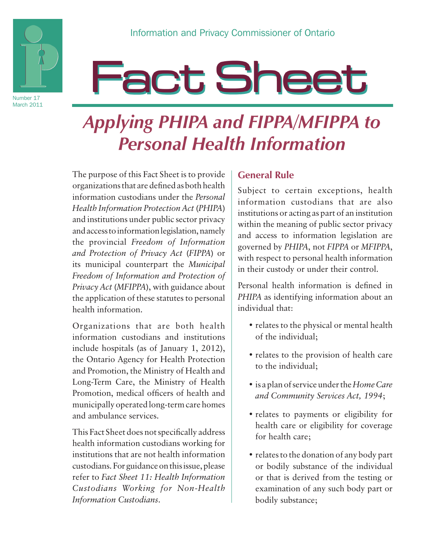

#### Number 17 March 2011

# **Fact Sheet**

## *Applying PHIPA and FIPPA/MFIPPA to Personal Health Information*

The purpose of this Fact Sheet is to provide organizations that are defined as both health information custodians under the *Personal Health Information Protection Act* (*PHIPA*) and institutions under public sector privacy and access to information legislation, namely the provincial *Freedom of Information and Protection of Privacy Act* (*FIPPA*) or its municipal counterpart the *Municipal Freedom of Information and Protection of Privacy Act* (*MFIPPA*), with guidance about the application of these statutes to personal health information.

Organizations that are both health information custodians and institutions include hospitals (as of January 1, 2012), the Ontario Agency for Health Protection and Promotion, the Ministry of Health and Long-Term Care, the Ministry of Health Promotion, medical officers of health and municipally operated long-term care homes and ambulance services.

This Fact Sheet does not specifically address health information custodians working for institutions that are not health information custodians. For guidance on this issue, please refer to *Fact Sheet 11: Health Information Custodians Working for Non-Health Information Custodians*.

#### **General Rule**

Subject to certain exceptions, health information custodians that are also institutions or acting as part of an institution within the meaning of public sector privacy and access to information legislation are governed by *PHIPA*, not *FIPPA* or *MFIPPA*, with respect to personal health information in their custody or under their control.

Personal health information is defined in *PHIPA* as identifying information about an individual that:

- relates to the physical or mental health of the individual;
- relates to the provision of health care to the individual;
- is a plan of service under the *Home Care and Community Services Act, 1994*;
- relates to payments or eligibility for health care or eligibility for coverage for health care;
- relates to the donation of any body part or bodily substance of the individual or that is derived from the testing or examination of any such body part or bodily substance;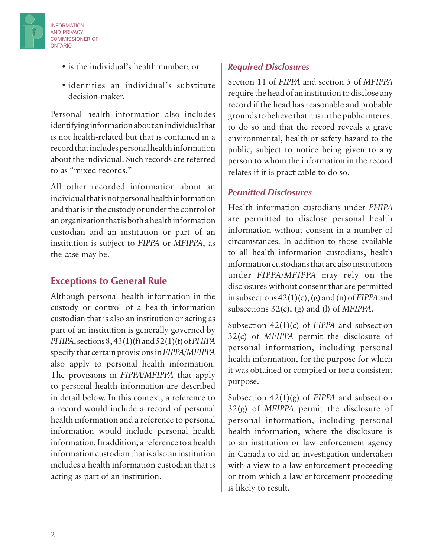

INFORMATION AND PRIVACY COMMISSIONER OF

ONTARIO

• identifies an individual's substitute decision-maker.

Personal health information also includes identifying information about an individual that is not health-related but that is contained in a record that includes personal health information about the individual. Such records are referred to as "mixed records."

All other recorded information about an individual that is not personal health information and that is in the custody or under the control of an organization that is both a health information custodian and an institution or part of an institution is subject to *FIPPA* or *MFIPPA*, as the case may be.<sup>1</sup>

#### **Exceptions to General Rule**

Although personal health information in the custody or control of a health information custodian that is also an institution or acting as part of an institution is generally governed by *PHIPA*, sections 8, 43(1)(f) and 52(1)(f) of *PHIPA*  specify that certain provisions in *FIPPA/MFIPPA*  also apply to personal health information. The provisions in *FIPPA/MFIPPA* that apply to personal health information are described in detail below. In this context, a reference to a record would include a record of personal health information and a reference to personal information would include personal health information. In addition, a reference to a health information custodian that is also an institution includes a health information custodian that is acting as part of an institution.

#### *Required Disclosures*

Section 11 of *FIPPA* and section 5 of *MFIPPA*  require the head of an institution to disclose any record if the head has reasonable and probable grounds to believe that it is in the public interest to do so and that the record reveals a grave environmental, health or safety hazard to the public, subject to notice being given to any person to whom the information in the record relates if it is practicable to do so.

#### *Permitted Disclosures*

Health information custodians under *PHIPA* are permitted to disclose personal health information without consent in a number of circumstances. In addition to those available to all health information custodians, health information custodians that are also institutions under *FIPPA/MFIPPA* may rely on the disclosures without consent that are permitted in subsections 42(1)(c), (g) and (n) of *FIPPA* and subsections 32(c), (g) and (l) of *MFIPPA*.

Subsection 42(1)(c) of *FIPPA* and subsection 32(c) of *MFIPPA* permit the disclosure of personal information, including personal health information, for the purpose for which it was obtained or compiled or for a consistent purpose.

Subsection 42(1)(g) of *FIPPA* and subsection 32(g) of *MFIPPA* permit the disclosure of personal information, including personal health information, where the disclosure is to an institution or law enforcement agency in Canada to aid an investigation undertaken with a view to a law enforcement proceeding or from which a law enforcement proceeding is likely to result.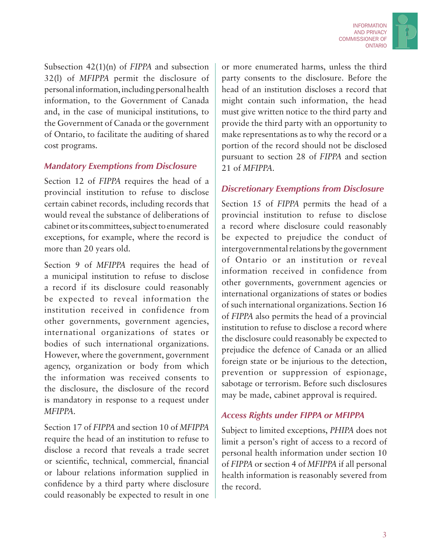

Subsection 42(1)(n) of *FIPPA* and subsection 32(l) of *MFIPPA* permit the disclosure of personal information, including personal health information, to the Government of Canada and, in the case of municipal institutions, to the Government of Canada or the government of Ontario, to facilitate the auditing of shared cost programs.

#### *Mandatory Exemptions from Disclosure*

Section 12 of *FIPPA* requires the head of a provincial institution to refuse to disclose certain cabinet records, including records that would reveal the substance of deliberations of cabinet or its committees, subject to enumerated exceptions, for example, where the record is more than 20 years old.

Section 9 of *MFIPPA* requires the head of a municipal institution to refuse to disclose a record if its disclosure could reasonably be expected to reveal information the institution received in confidence from other governments, government agencies, international organizations of states or bodies of such international organizations. However, where the government, government agency, organization or body from which the information was received consents to the disclosure, the disclosure of the record is mandatory in response to a request under *MFIPPA*.

Section 17 of *FIPPA* and section 10 of *MFIPPA*  require the head of an institution to refuse to disclose a record that reveals a trade secret or scientific, technical, commercial, financial or labour relations information supplied in confidence by a third party where disclosure could reasonably be expected to result in one or more enumerated harms, unless the third party consents to the disclosure. Before the head of an institution discloses a record that might contain such information, the head must give written notice to the third party and provide the third party with an opportunity to make representations as to why the record or a portion of the record should not be disclosed pursuant to section 28 of *FIPPA* and section 21 of *MFIPPA*.

#### *Discretionary Exemptions from Disclosure*

Section 15 of *FIPPA* permits the head of a provincial institution to refuse to disclose a record where disclosure could reasonably be expected to prejudice the conduct of intergovernmental relations by the government of Ontario or an institution or reveal information received in confidence from other governments, government agencies or international organizations of states or bodies of such international organizations. Section 16 of *FIPPA* also permits the head of a provincial institution to refuse to disclose a record where the disclosure could reasonably be expected to prejudice the defence of Canada or an allied foreign state or be injurious to the detection, prevention or suppression of espionage, sabotage or terrorism. Before such disclosures may be made, cabinet approval is required.

#### *Access Rights under FIPPA or MFIPPA*

Subject to limited exceptions, *PHIPA* does not limit a person's right of access to a record of personal health information under section 10 of *FIPPA* or section 4 of *MFIPPA* if all personal health information is reasonably severed from the record.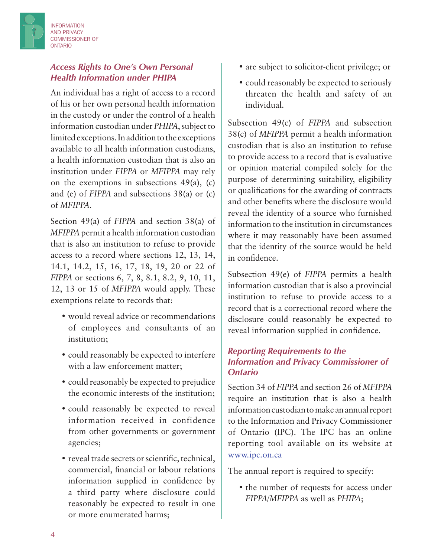

#### *Access Rights to One's Own Personal Health Information under PHIPA*

An individual has a right of access to a record of his or her own personal health information in the custody or under the control of a health information custodian under *PHIPA*, subject to limited exceptions. In addition to the exceptions available to all health information custodians, a health information custodian that is also an institution under *FIPPA* or *MFIPPA* may rely on the exemptions in subsections 49(a), (c) and (e) of *FIPPA* and subsections 38(a) or (c) of *MFIPPA*.

Section 49(a) of *FIPPA* and section 38(a) of *MFIPPA* permit a health information custodian that is also an institution to refuse to provide access to a record where sections 12, 13, 14, 14.1, 14.2, 15, 16, 17, 18, 19, 20 or 22 of *FIPPA* or sections 6, 7, 8, 8.1, 8.2, 9, 10, 11, 12, 13 or 15 of *MFIPPA* would apply. These exemptions relate to records that:

- would reveal advice or recommendations of employees and consultants of an institution;
- could reasonably be expected to interfere with a law enforcement matter;
- could reasonably be expected to prejudice the economic interests of the institution;
- could reasonably be expected to reveal information received in confidence from other governments or government agencies;
- reveal trade secrets or scientific, technical, commercial, financial or labour relations information supplied in confidence by a third party where disclosure could reasonably be expected to result in one or more enumerated harms;
- are subject to solicitor-client privilege; or
- could reasonably be expected to seriously threaten the health and safety of an individual.

Subsection 49(c) of *FIPPA* and subsection 38(c) of *MFIPPA* permit a health information custodian that is also an institution to refuse to provide access to a record that is evaluative or opinion material compiled solely for the purpose of determining suitability, eligibility or qualifications for the awarding of contracts and other benefits where the disclosure would reveal the identity of a source who furnished information to the institution in circumstances where it may reasonably have been assumed that the identity of the source would be held in confidence.

Subsection 49(e) of *FIPPA* permits a health information custodian that is also a provincial institution to refuse to provide access to a record that is a correctional record where the disclosure could reasonably be expected to reveal information supplied in confidence.

#### *Reporting Requirements to the Information and Privacy Commissioner of Ontario*

Section 34 of *FIPPA* and section 26 of *MFIPPA*  require an institution that is also a health information custodian to make an annual report to the Information and Privacy Commissioner of Ontario (IPC). The IPC has an online reporting tool available on its website at www.ipc.on.ca

The annual report is required to specify:

• the number of requests for access under *FIPPA/MFIPPA* as well as *PHIPA*;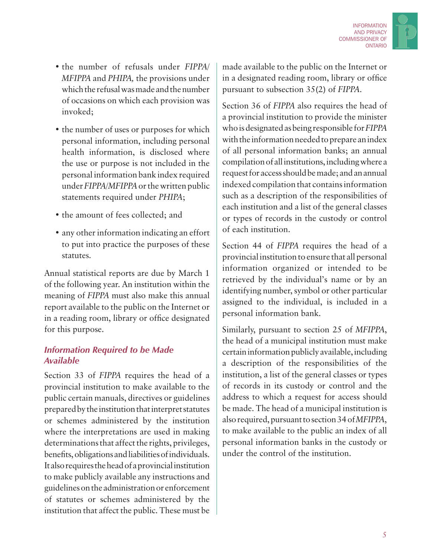

- the number of refusals under *FIPPA/ MFIPPA* and *PHIPA,* the provisions under which the refusal was made and the number of occasions on which each provision was invoked;
- the number of uses or purposes for which personal information, including personal health information, is disclosed where the use or purpose is not included in the personal information bank index required under *FIPPA/MFIPPA* or the written public statements required under *PHIPA*;
- the amount of fees collected; and
- any other information indicating an effort to put into practice the purposes of these statutes.

Annual statistical reports are due by March 1 of the following year. An institution within the meaning of *FIPPA* must also make this annual report available to the public on the Internet or in a reading room, library or office designated for this purpose.

#### *Information Required to be Made Available*

Section 33 of *FIPPA* requires the head of a provincial institution to make available to the public certain manuals, directives or guidelines prepared by the institution that interpret statutes or schemes administered by the institution where the interpretations are used in making determinations that affect the rights, privileges, benefits, obligations and liabilities of individuals. It also requires the head of a provincial institution to make publicly available any instructions and guidelines on the administration or enforcement of statutes or schemes administered by the institution that affect the public. These must be made available to the public on the Internet or in a designated reading room, library or office pursuant to subsection 35(2) of *FIPPA*.

Section 36 of *FIPPA* also requires the head of a provincial institution to provide the minister who is designated as being responsible for *FIPPA* with the information needed to prepare an index of all personal information banks; an annual compilation of all institutions, including where a request for access should be made; and an annual indexed compilation that contains information such as a description of the responsibilities of each institution and a list of the general classes or types of records in the custody or control of each institution.

Section 44 of *FIPPA* requires the head of a provincial institution to ensure that all personal information organized or intended to be retrieved by the individual's name or by an identifying number, symbol or other particular assigned to the individual, is included in a personal information bank.

Similarly, pursuant to section 25 of *MFIPPA*, the head of a municipal institution must make certain information publicly available, including a description of the responsibilities of the institution, a list of the general classes or types of records in its custody or control and the address to which a request for access should be made. The head of a municipal institution is also required, pursuant to section 34 of *MFIPPA*, to make available to the public an index of all personal information banks in the custody or under the control of the institution.